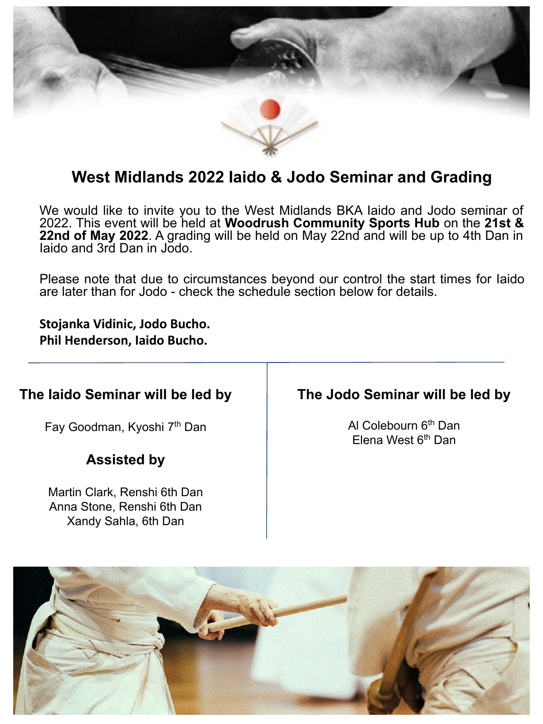

# **West Midlands 2022 Iaido & Jodo Seminar and Grading**

We would like to invite you to the West Midlands BKA Iaido and Jodo seminar of 2022. This event will be held at **Woodrush Community Sports Hub** on the **21st & 22nd of May 2022**. A grading will be held on May 22nd and will be up to 4th Dan in Iaido and 3rd Dan in Jodo.

Please note that due to circumstances beyond our control the start times for Iaido are later than for Jodo - check the schedule section below for details.

**Stojanka Vidinic, Jodo Bucho. Phil Henderson, Iaido Bucho.**

# **The Iaido Seminar will be led by**

Fay Goodman, Kyoshi 7<sup>th</sup> Dan

## **Assisted by**

Martin Clark, Renshi 6th Dan Anna Stone, Renshi 6th Dan Xandy Sahla, 6th Dan

## **The Jodo Seminar will be led by**

Al Colebourn 6<sup>th</sup> Dan Elena West  $6<sup>th</sup>$  Dan

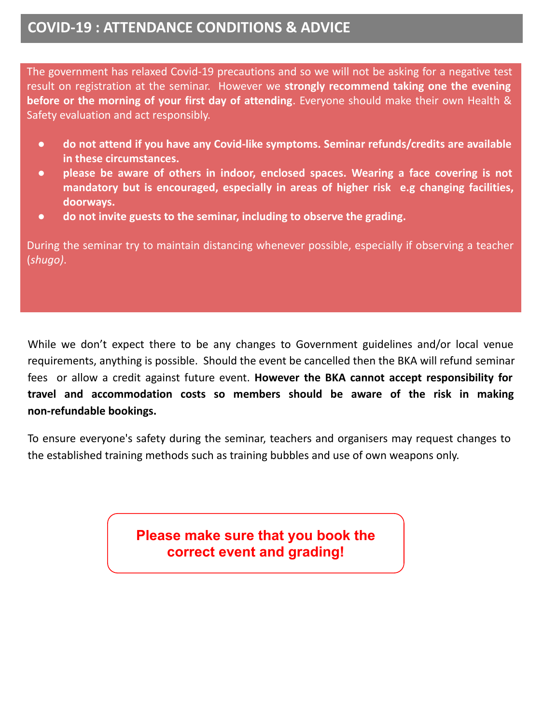# **COVID-19 : ATTENDANCE CONDITIONS & ADVICE**

The government has relaxed Covid-19 precautions and so we will not be asking for a negative test result on registration at the seminar. However we **strongly recommend taking one the evening before or the morning of your first day of attending**. Everyone should make their own Health & Safety evaluation and act responsibly.

- **● do not attend if you have any Covid-like symptoms. Seminar refunds/credits are available in these circumstances.**
- **● please be aware of others in indoor, enclosed spaces. Wearing a face covering is not mandatory but is encouraged, especially in areas of higher risk e.g changing facilities, doorways.**
- **● do not invite guests to the seminar, including to observe the grading.**

During the seminar try to maintain distancing whenever possible, especially if observing a teacher (*shugo)*.

While we don't expect there to be any changes to Government guidelines and/or local venue requirements, anything is possible. Should the event be cancelled then the BKA will refund seminar fees or allow a credit against future event. **However the BKA cannot accept responsibility for travel and accommodation costs so members should be aware of the risk in making non-refundable bookings.**

To ensure everyone's safety during the seminar, teachers and organisers may request changes to the established training methods such as training bubbles and use of own weapons only.

> **Please make sure that you book the correct event and grading!**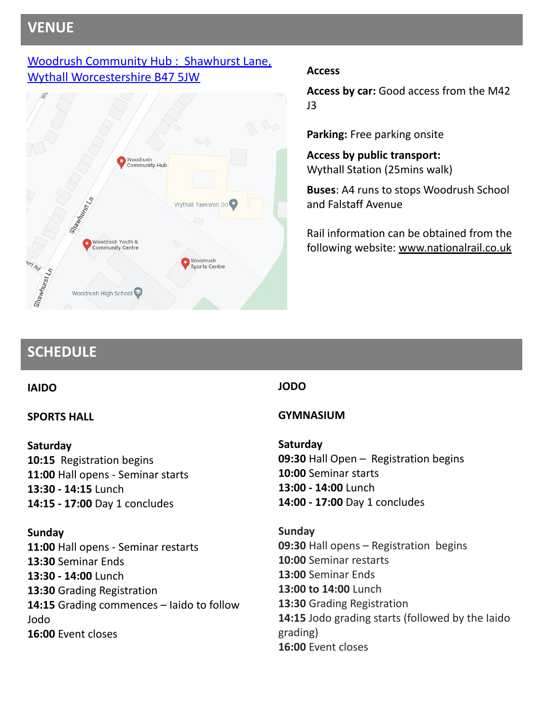# **VENUE**

### [Woodrush Community Hub : Shawhurst Lane,](https://goo.gl/maps/Rh1ck5MkqHH8uoBTA) [Wythall Worcestershire B47 5JW](https://goo.gl/maps/Rh1ck5MkqHH8uoBTA) **Access**



**Access by car:** Good access from the M42 J3

**Parking:** Free parking onsite

**Access by public transport:** Wythall Station (25mins walk)

**Buses**: A4 runs to stops Woodrush School and Falstaff Avenue

Rail information can be obtained from the following website: [www.nationalrail.co.uk](http://www.nationalrail.co.uk/)

# **SCHEDULE**

### **IAIDO**

### **SPORTS HALL**

### **Saturday**

**10:15** Registration begins **11:00** Hall opens - Seminar starts **13:30 - 14:15** Lunch **14:15 - 17:00** Day 1 concludes

### **Sunday**

**11:00** Hall opens - Seminar restarts **13:30** Seminar Ends **13:30 - 14:00** Lunch **13:30** Grading Registration **14:15** Grading commences – Iaido to follow Jodo **16:00** Event closes

### **JODO**

### **GYMNASIUM**

## **Saturday**

**09:30** Hall Open – Registration begins **10:00** Seminar starts **13:00 - 14:00** Lunch **14:00 - 17:00** Day 1 concludes

**Sunday 09:30** Hall opens – Registration begins **10:00** Seminar restarts **13:00** Seminar Ends **13:00 to 14:00** Lunch **13:30** Grading Registration **14:15** Jodo grading starts (followed by the Iaido grading) **16:00** Event closes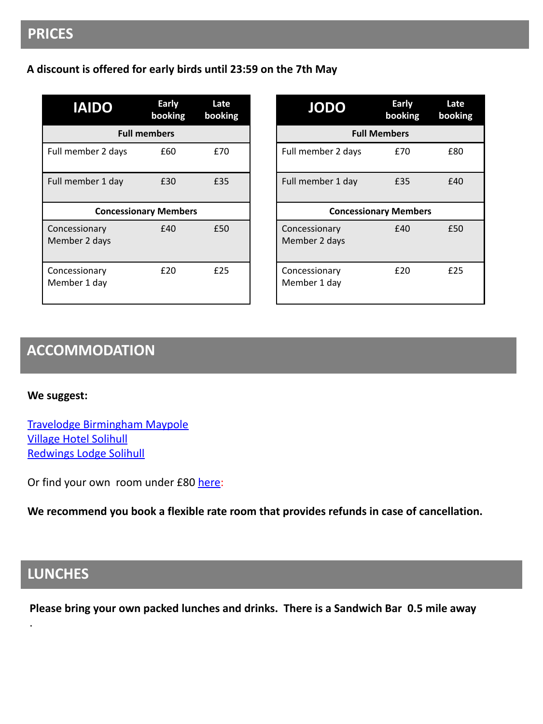# **PRICES**

#### **A discount is offered for early birds until 23:59 on the 7th May**

| <b>IAIDO</b>                   | <b>Early</b><br>booking | Late<br>booking |  |
|--------------------------------|-------------------------|-----------------|--|
| <b>Full members</b>            |                         |                 |  |
| Full member 2 days             | £60                     | £70             |  |
| Full member 1 day              | £30                     | £35             |  |
| <b>Concessionary Members</b>   |                         |                 |  |
| Concessionary<br>Member 2 days | £40                     | £50             |  |
| Concessionary<br>Member 1 day  | £20                     | £25             |  |

| <b>JODO</b>                    | Early<br>booking | Late<br>booking |  |
|--------------------------------|------------------|-----------------|--|
| <b>Full Members</b>            |                  |                 |  |
| Full member 2 days             | £70              | £80             |  |
| Full member 1 day              | £35              | £40             |  |
| <b>Concessionary Members</b>   |                  |                 |  |
| Concessionary<br>Member 2 days | f40              | £50             |  |
| Concessionary<br>Member 1 day  | £20              | £25             |  |

# **ACCOMMODATION**

**We suggest:**

[Travelodge Birmingham Maypole](https://goo.gl/maps/9pWVvsn3p6ucAu34A) [Village Hotel Solihull](https://goo.gl/maps/jz9CZB6nG42zicrf8) [Redwings Lodge Solihull](https://goo.gl/maps/tDaYyLENXb9Lm1AC6)

Or find your own room under £80 [here](https://www.google.com/maps/search/Hotels/@52.3871733,-1.9139798,13z/data=!3m1!4b1!4m11!2m10!3m6!1sHotels!2sWoodrush+Community+Hub,+Shawhurst+Ln,+Hollywood,+Birmingham+B47+5PE!3s0x4870bed589e45cb3:0x6885c0ef40152417!4m2!1d-1.87835!2d52.3895532!5m1!9i80!6e3):

**We recommend you book a flexible rate room that provides refunds in case of cancellation.**

# **LUNCHES**

.

**Please bring your own packed lunches and drinks. There is a Sandwich Bar 0.5 mile away**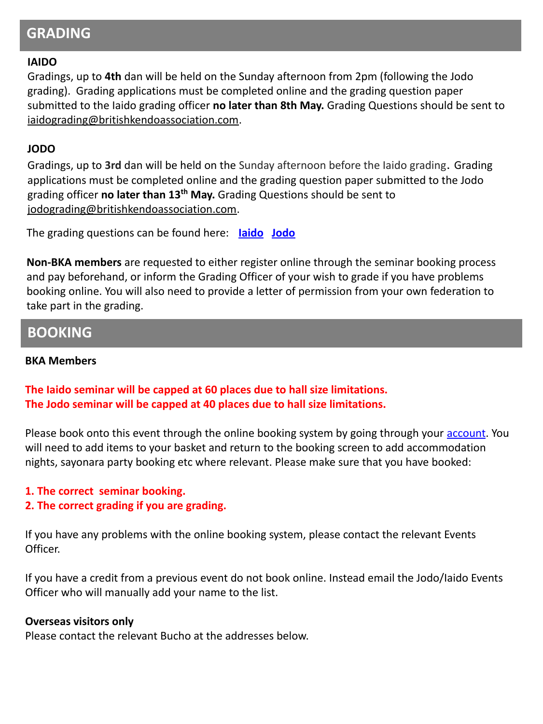# **GRADING**

#### **IAIDO**

Gradings, up to **4th** dan will be held on the Sunday afternoon from 2pm (following the Jodo grading). Grading applications must be completed online and the grading question paper submitted to the Iaido grading officer **no later than 8th May.** Grading Questions should be sent to [iaidograding@britishkendoassociation.com.](mailto:iaidograding@britishkendoassociation.com)

#### **JODO**

Gradings, up to **3rd** dan will be held on the Sunday afternoon before the Iaido grading. Grading applications must be completed online and the grading question paper submitted to the Jodo grading officer **no later than 13th May.** Grading Questions should be sent to [jodograding@britishkendoassociation.com](mailto:jodograding@britishkendoassociation.com).

The grading questions can be found here: **[Iaido](https://www.britishkendoassociation.com/grading-questions-iaido/) [Jodo](https://www.britishkendoassociation.com/grading-questions-jodo/)**

**Non-BKA members** are requested to either register online through the seminar booking process and pay beforehand, or inform the Grading Officer of your wish to grade if you have problems booking online. You will also need to provide a letter of permission from your own federation to take part in the grading.

### **BOOKING**

#### **BKA Members**

### **The Iaido seminar will be capped at 60 places due to hall size limitations. The Jodo seminar will be capped at 40 places due to hall size limitations.**

Please book onto this event through the online booking system by going through your [account](https://membership.britishkendoassociation.com/login.php). You will need to add items to your basket and return to the booking screen to add accommodation nights, sayonara party booking etc where relevant. Please make sure that you have booked:

### **1. The correct seminar booking.**

### **2. The correct grading if you are grading.**

If you have any problems with the online booking system, please contact the relevant Events Officer.

If you have a credit from a previous event do not book online. Instead email the Jodo/Iaido Events Officer who will manually add your name to the list.

#### **Overseas visitors only**

Please contact the relevant Bucho at the addresses below.